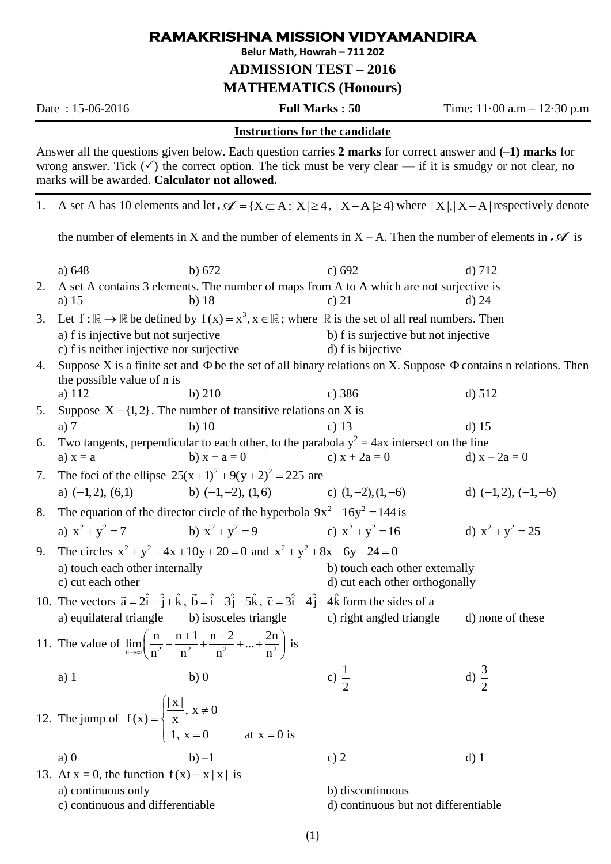## **RAMAKRISHNA MISSION VIDYAMANDIRA**

**Belur Math, Howrah – 711 202**

**ADMISSION TEST – 2016**

**MATHEMATICS (Honours)**

Date : 15-06-2016 **Full Marks : 50** Time: 11·00 a.m – 12·30 p.m

## **Instructions for the candidate**

Answer all the questions given below. Each question carries **2 marks** for correct answer and **(–1) marks** for wrong answer. Tick  $(\checkmark)$  the correct option. The tick must be very clear — if it is smudgy or not clear, no marks will be awarded. **Calculator not allowed.**

1. A set A has 10 elements and let  $\mathcal{A} = \{X \subseteq A : |X| \ge 4, |X - A| \ge 4\}$  where  $|X|, |X - A|$  respectively denote

the number of elements in X and the number of elements in  $X - A$ . Then the number of elements in  $\mathcal A$  is

|    | a) 648                                                                                                                                                | b) $672$                                                                                                                                                              | c) 692                               | $d$ ) 712               |  |  |
|----|-------------------------------------------------------------------------------------------------------------------------------------------------------|-----------------------------------------------------------------------------------------------------------------------------------------------------------------------|--------------------------------------|-------------------------|--|--|
| 2. | A set A contains 3 elements. The number of maps from A to A which are not surjective is                                                               |                                                                                                                                                                       |                                      |                         |  |  |
|    | a) $15$                                                                                                                                               | $b)$ 18                                                                                                                                                               | c) $21$                              | d) 24                   |  |  |
| 3. |                                                                                                                                                       | Let $f : \mathbb{R} \to \mathbb{R}$ be defined by $f(x) = x^3, x \in \mathbb{R}$ ; where $\mathbb R$ is the set of all real numbers. Then                             |                                      |                         |  |  |
|    | a) f is injective but not surjective                                                                                                                  |                                                                                                                                                                       | b) f is surjective but not injective |                         |  |  |
|    | c) f is neither injective nor surjective                                                                                                              |                                                                                                                                                                       | d) f is bijective                    |                         |  |  |
| 4. | Suppose X is a finite set and $\Phi$ be the set of all binary relations on X. Suppose $\Phi$ contains n relations. Then<br>the possible value of n is |                                                                                                                                                                       |                                      |                         |  |  |
|    | a) 112                                                                                                                                                | $b)$ 210                                                                                                                                                              | c) 386                               | d) 512                  |  |  |
| 5. | Suppose $X = \{1, 2\}$ . The number of transitive relations on X is                                                                                   |                                                                                                                                                                       |                                      |                         |  |  |
|    | a) $7$                                                                                                                                                | $b)$ 10                                                                                                                                                               | c) $13$                              | $d)$ 15                 |  |  |
| 6. | Two tangents, perpendicular to each other, to the parabola $y^2 = 4ax$ intersect on the line                                                          |                                                                                                                                                                       |                                      |                         |  |  |
|    | a) $x = a$                                                                                                                                            | b) $x + a = 0$                                                                                                                                                        | c) $x + 2a = 0$                      | d) $x - 2a = 0$         |  |  |
| 7. | The foci of the ellipse $25(x+1)^2 + 9(y+2)^2 = 225$ are                                                                                              |                                                                                                                                                                       |                                      |                         |  |  |
|    | a) $(-1, 2)$ , $(6, 1)$                                                                                                                               | b) $(-1,-2)$ , $(1,6)$                                                                                                                                                | c) $(1,-2)$ , $(1,-6)$               | d) $(-1,2)$ , $(-1,-6)$ |  |  |
| 8. | The equation of the director circle of the hyperbola $9x^2 - 16y^2 = 144$ is                                                                          |                                                                                                                                                                       |                                      |                         |  |  |
|    | a) $x^2 + y^2 = 7$                                                                                                                                    | b) $x^2 + y^2 = 9$                                                                                                                                                    | c) $x^2 + y^2 = 16$                  | d) $x^2 + y^2 = 25$     |  |  |
| 9. | The circles $x^2 + y^2 - 4x + 10y + 20 = 0$ and $x^2 + y^2 + 8x - 6y - 24 = 0$                                                                        |                                                                                                                                                                       |                                      |                         |  |  |
|    | a) touch each other internally                                                                                                                        |                                                                                                                                                                       | b) touch each other externally       |                         |  |  |
|    | c) cut each other                                                                                                                                     |                                                                                                                                                                       | d) cut each other orthogonally       |                         |  |  |
|    |                                                                                                                                                       | 10. The vectors $\vec{a} = 2\hat{i} - \hat{j} + \hat{k}$ , $\vec{b} = \hat{i} - 3\hat{j} - 5\hat{k}$ , $\vec{c} = 3\hat{i} - 4\hat{j} - 4\hat{k}$ form the sides of a |                                      |                         |  |  |
|    | a) equilateral triangle                                                                                                                               | b) isosceles triangle                                                                                                                                                 | c) right angled triangle             | d) none of these        |  |  |
|    | 11. The value of $\lim_{n\to\infty} \left( \frac{n}{n^2} + \frac{n+1}{n^2} + \frac{n+2}{n^2} + \dots + \frac{2n}{n^2} \right)$ is                     |                                                                                                                                                                       |                                      |                         |  |  |
|    | $a)$ 1                                                                                                                                                | b)0                                                                                                                                                                   | c) $\frac{1}{2}$                     | d) $\frac{3}{2}$        |  |  |
|    |                                                                                                                                                       |                                                                                                                                                                       |                                      |                         |  |  |
|    | 12. The jump of $f(x) = \begin{cases} \frac{ x }{x}, & x \neq 0 \end{cases}$                                                                          |                                                                                                                                                                       |                                      |                         |  |  |
|    |                                                                                                                                                       | 1, $x = 0$ at $x = 0$ is                                                                                                                                              |                                      |                         |  |  |
|    | a)0                                                                                                                                                   | $b) -1$                                                                                                                                                               | c) $2$                               | $d)$ 1                  |  |  |
|    | 13. At $x = 0$ , the function $f(x) = x  x $ is                                                                                                       |                                                                                                                                                                       |                                      |                         |  |  |
|    | a) continuous only                                                                                                                                    |                                                                                                                                                                       | b) discontinuous                     |                         |  |  |
|    | c) continuous and differentiable                                                                                                                      |                                                                                                                                                                       | d) continuous but not differentiable |                         |  |  |
|    |                                                                                                                                                       |                                                                                                                                                                       |                                      |                         |  |  |